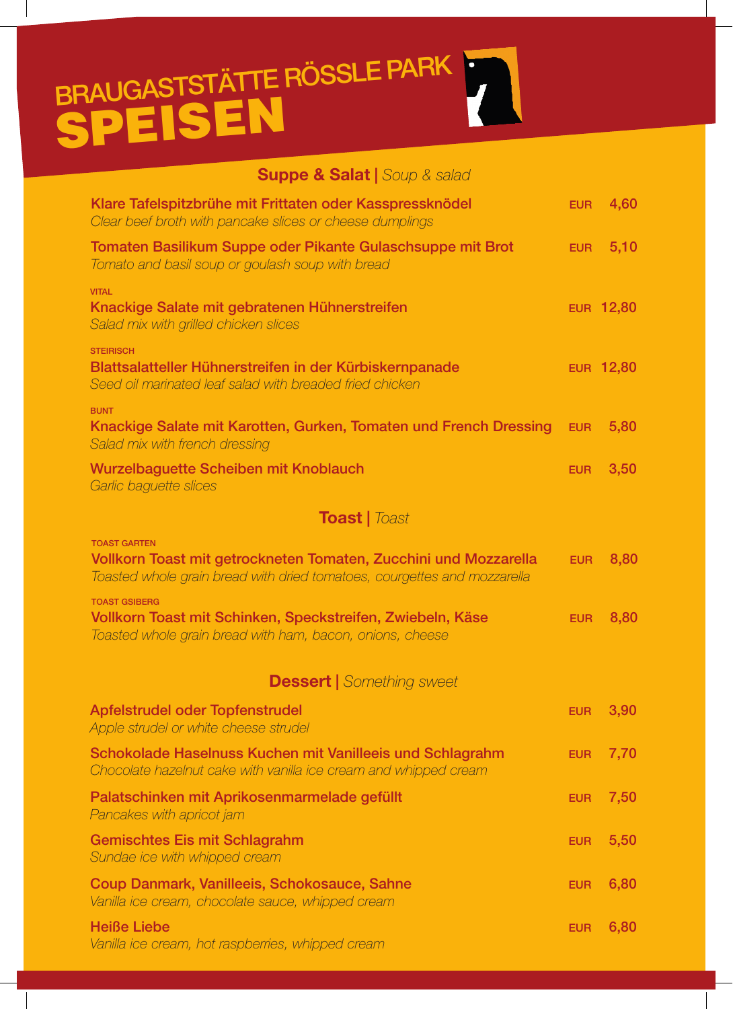## SPEISEN BRAUGASTSTÄTTE RÖSSLE PARK

**Suppe & Salat |** *Soup & salad*

| <b>Suppe &amp; Saiat  </b> Soup & SaiaG                                                                                                                             |            |                  |
|---------------------------------------------------------------------------------------------------------------------------------------------------------------------|------------|------------------|
| Klare Tafelspitzbrühe mit Frittaten oder Kasspressknödel<br>Clear beef broth with pancake slices or cheese dumplings                                                | <b>EUR</b> | 4,60             |
| Tomaten Basilikum Suppe oder Pikante Gulaschsuppe mit Brot<br>Tomato and basil soup or goulash soup with bread                                                      | <b>EUR</b> | 5,10             |
| <b>VITAL</b><br>Knackige Salate mit gebratenen Hühnerstreifen<br>Salad mix with grilled chicken slices                                                              |            | <b>EUR 12,80</b> |
| <b>STEIRISCH</b><br>Blattsalatteller Hühnerstreifen in der Kürbiskernpanade<br>Seed oil marinated leaf salad with breaded fried chicken                             |            | <b>EUR 12,80</b> |
| <b>BUNT</b><br>Knackige Salate mit Karotten, Gurken, Tomaten und French Dressing<br>Salad mix with french dressing                                                  | <b>EUR</b> | 5,80             |
| <b>Wurzelbaguette Scheiben mit Knoblauch</b><br>Garlic baguette slices                                                                                              | <b>EUR</b> | 3,50             |
| <b>Toast</b>   Toast                                                                                                                                                |            |                  |
| <b>TOAST GARTEN</b><br>Vollkorn Toast mit getrockneten Tomaten, Zucchini und Mozzarella<br>Toasted whole grain bread with dried tomatoes, courgettes and mozzarella | <b>EUR</b> | 8,80             |
| <b>TOAST GSIBERG</b><br>Vollkorn Toast mit Schinken, Speckstreifen, Zwiebeln, Käse<br>Toasted whole grain bread with ham, bacon, onions, cheese                     | <b>EUR</b> | 8,80             |
| <b>Dessert</b>   Something sweet                                                                                                                                    |            |                  |
| Apfelstrudel oder Topfenstrudel<br>Apple strudel or white cheese strudel                                                                                            | <b>EUR</b> | 3,90             |
| Schokolade Haselnuss Kuchen mit Vanilleeis und Schlagrahm<br>Chocolate hazelnut cake with vanilla ice cream and whipped cream                                       | <b>EUR</b> | 7,70             |
| Palatschinken mit Aprikosenmarmelade gefüllt<br>Pancakes with apricot jam                                                                                           | <b>EUR</b> | 7,50             |
| <b>Gemischtes Eis mit Schlagrahm</b><br>Sundae ice with whipped cream                                                                                               | <b>EUR</b> | 5,50             |
| Coup Danmark, Vanilleeis, Schokosauce, Sahne<br>Vanilla ice cream, chocolate sauce, whipped cream                                                                   | <b>EUR</b> | 6,80             |
| <b>Heiße Liebe</b><br>Vanilla ice cream, hot raspberries, whipped cream                                                                                             | <b>EUR</b> | 6,80             |